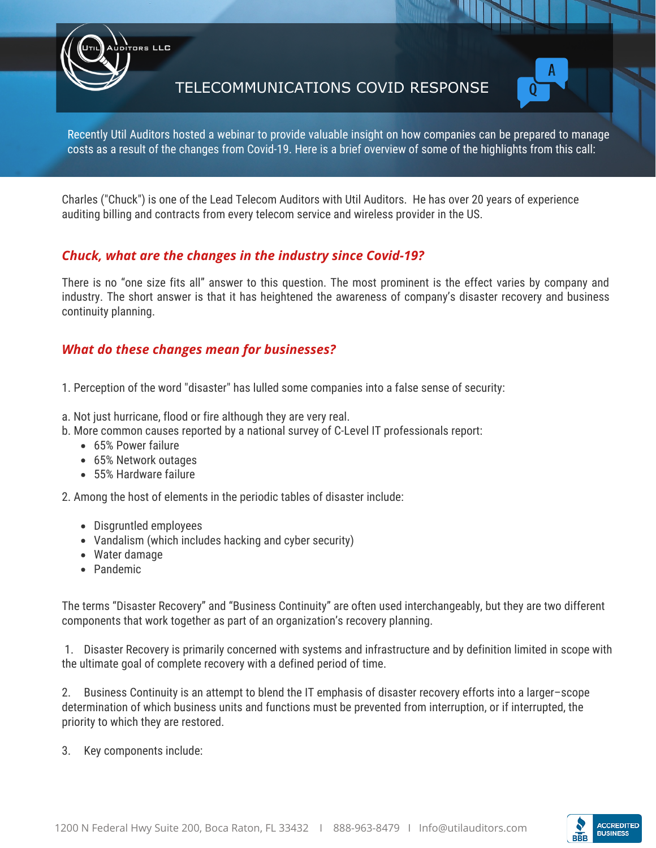TELECOMMUNICATIONS COVID RESPONSE



Recently Util Auditors hosted a webinar to provide valuable insight on how companies can be prepared to manage costs as a result of the changes from Covid-19. Here is a brief overview of some of the highlights from this call:

Charles ("Chuck") is one of the Lead Telecom Auditors with Util Auditors. He has over 20 years of experience auditing billing and contracts from every telecom service and wireless provider in the US.

### *Chuck, what are the changes in the industry since Covid-19?*

There is no "one size fits all" answer to this question. The most prominent is the effect varies by company and industry. The short answer is that it has heightened the awareness of company's disaster recovery and business continuity planning.

### *What do these changes mean for businesses?*

1. Perception of the word "disaster" has lulled some companies into a false sense of security:

- a. Not just hurricane, flood or fire although they are very real.
- b. More common causes reported by a national survey of C-Level IT professionals report:
	- 65% Power failure
	- 65% Network outages

ors LLC

55% Hardware failure

2. Among the host of elements in the periodic tables of disaster include:

- Disgruntled employees
- Vandalism (which includes hacking and cyber security)
- Water damage
- Pandemic

The terms "Disaster Recovery" and "Business Continuity" are often used interchangeably, but they are two different components that work together as part of an organization's recovery planning.

 1. Disaster Recovery is primarily concerned with systems and infrastructure and by definition limited in scope with the ultimate goal of complete recovery with a defined period of time.

2. Business Continuity is an attempt to blend the IT emphasis of disaster recovery efforts into a larger–scope determination of which business units and functions must be prevented from interruption, or if interrupted, the priority to which they are restored.

3. Key components include:

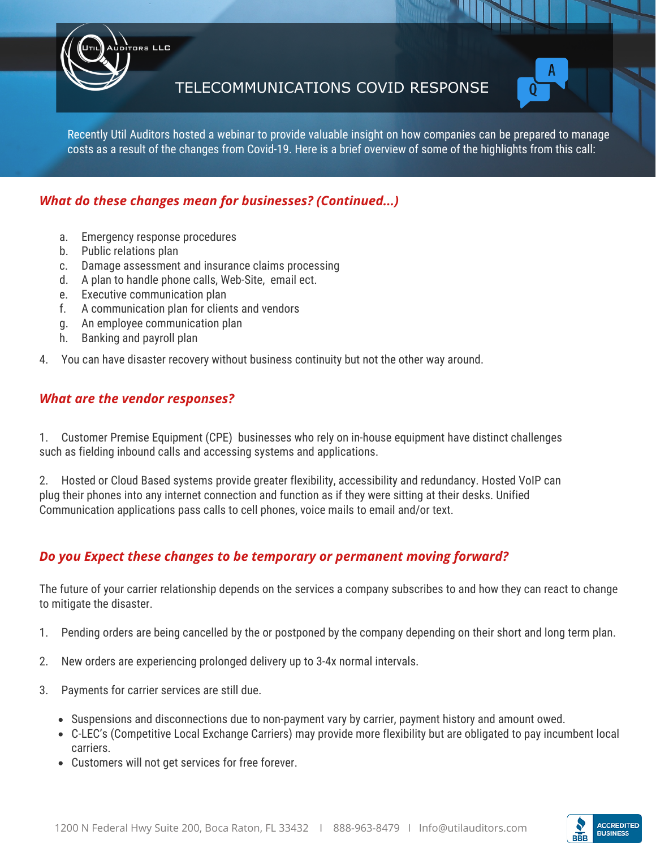



Recently Util Auditors hosted a webinar to provide valuable insight on how companies can be prepared to manage costs as a result of the changes from Covid-19. Here is a brief overview of some of the highlights from this call:

# *What do these changes mean for businesses? (Continued...)*

a. Emergency response procedures

ors LLC

- b. Public relations plan
- c. Damage assessment and insurance claims processing
- d. A plan to handle phone calls, Web-Site, email ect.
- e. Executive communication plan
- f. A communication plan for clients and vendors
- g. An employee communication plan
- h. Banking and payroll plan
- 4. You can have disaster recovery without business continuity but not the other way around.

#### *What are the vendor responses?*

1. Customer Premise Equipment (CPE) businesses who rely on in-house equipment have distinct challenges such as fielding inbound calls and accessing systems and applications.

2. Hosted or Cloud Based systems provide greater flexibility, accessibility and redundancy. Hosted VoIP can plug their phones into any internet connection and function as if they were sitting at their desks. Unified Communication applications pass calls to cell phones, voice mails to email and/or text.

## *Do you Expect these changes to be temporary or permanent moving forward?*

The future of your carrier relationship depends on the services a company subscribes to and how they can react to change to mitigate the disaster.

- 1. Pending orders are being cancelled by the or postponed by the company depending on their short and long term plan.
- 2. New orders are experiencing prolonged delivery up to 3-4x normal intervals.
- 3. Payments for carrier services are still due.
	- Suspensions and disconnections due to non-payment vary by carrier, payment history and amount owed.
	- C-LEC's (Competitive Local Exchange Carriers) may provide more flexibility but are obligated to pay incumbent local carriers.
	- Customers will not get services for free forever.